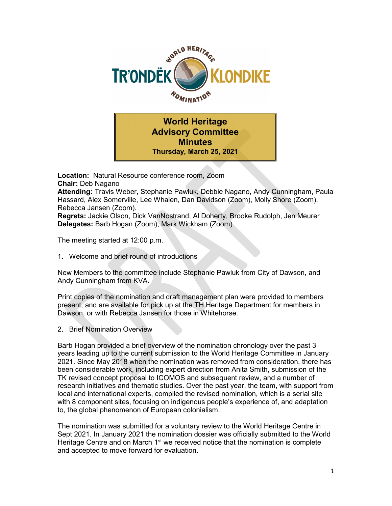

World Heritage Advisory Committee **Minutes** Thursday, March 25, 2021

Location: Natural Resource conference room, Zoom Chair: Deb Nagano Attending: Travis Weber, Stephanie Pawluk, Debbie Nagano, Andy Cunningham, Paula Hassard, Alex Somerville, Lee Whalen, Dan Davidson (Zoom), Molly Shore (Zoom), Rebecca Jansen (Zoom). Regrets: Jackie Olson, Dick VanNostrand, Al Doherty, Brooke Rudolph, Jen Meurer Delegates: Barb Hogan (Zoom), Mark Wickham (Zoom)

The meeting started at 12:00 p.m.

1. Welcome and brief round of introductions

New Members to the committee include Stephanie Pawluk from City of Dawson, and Andy Cunningham from KVA.

Print copies of the nomination and draft management plan were provided to members present, and are available for pick up at the TH Heritage Department for members in Dawson, or with Rebecca Jansen for those in Whitehorse.

2. Brief Nomination Overview

Barb Hogan provided a brief overview of the nomination chronology over the past 3 years leading up to the current submission to the World Heritage Committee in January 2021. Since May 2018 when the nomination was removed from consideration, there has been considerable work, including expert direction from Anita Smith, submission of the TK revised concept proposal to ICOMOS and subsequent review, and a number of research initiatives and thematic studies. Over the past year, the team, with support from local and international experts, compiled the revised nomination, which is a serial site with 8 component sites, focusing on indigenous people's experience of, and adaptation to, the global phenomenon of European colonialism.

The nomination was submitted for a voluntary review to the World Heritage Centre in Sept 2021. In January 2021 the nomination dossier was officially submitted to the World Heritage Centre and on March  $1<sup>st</sup>$  we received notice that the nomination is complete and accepted to move forward for evaluation.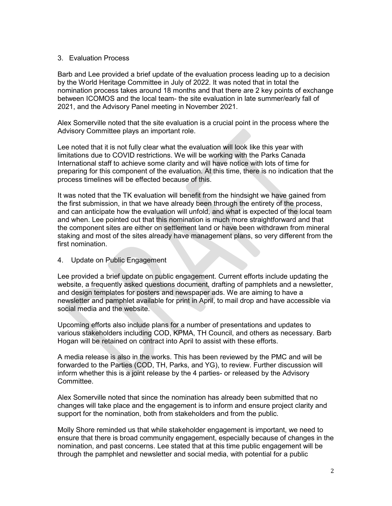## 3. Evaluation Process

Barb and Lee provided a brief update of the evaluation process leading up to a decision by the World Heritage Committee in July of 2022. It was noted that in total the nomination process takes around 18 months and that there are 2 key points of exchange between ICOMOS and the local team- the site evaluation in late summer/early fall of 2021, and the Advisory Panel meeting in November 2021.

Alex Somerville noted that the site evaluation is a crucial point in the process where the Advisory Committee plays an important role.

Lee noted that it is not fully clear what the evaluation will look like this year with limitations due to COVID restrictions. We will be working with the Parks Canada International staff to achieve some clarity and will have notice with lots of time for preparing for this component of the evaluation. At this time, there is no indication that the process timelines will be effected because of this.

It was noted that the TK evaluation will benefit from the hindsight we have gained from the first submission, in that we have already been through the entirety of the process, and can anticipate how the evaluation will unfold, and what is expected of the local team and when. Lee pointed out that this nomination is much more straightforward and that the component sites are either on settlement land or have been withdrawn from mineral staking and most of the sites already have management plans, so very different from the first nomination.

4. Update on Public Engagement

Lee provided a brief update on public engagement. Current efforts include updating the website, a frequently asked questions document, drafting of pamphlets and a newsletter, and design templates for posters and newspaper ads. We are aiming to have a newsletter and pamphlet available for print in April, to mail drop and have accessible via social media and the website.

Upcoming efforts also include plans for a number of presentations and updates to various stakeholders including COD, KPMA, TH Council, and others as necessary. Barb Hogan will be retained on contract into April to assist with these efforts.

A media release is also in the works. This has been reviewed by the PMC and will be forwarded to the Parties (COD, TH, Parks, and YG), to review. Further discussion will inform whether this is a joint release by the 4 parties- or released by the Advisory Committee.

Alex Somerville noted that since the nomination has already been submitted that no changes will take place and the engagement is to inform and ensure project clarity and support for the nomination, both from stakeholders and from the public.

Molly Shore reminded us that while stakeholder engagement is important, we need to ensure that there is broad community engagement, especially because of changes in the nomination, and past concerns. Lee stated that at this time public engagement will be through the pamphlet and newsletter and social media, with potential for a public